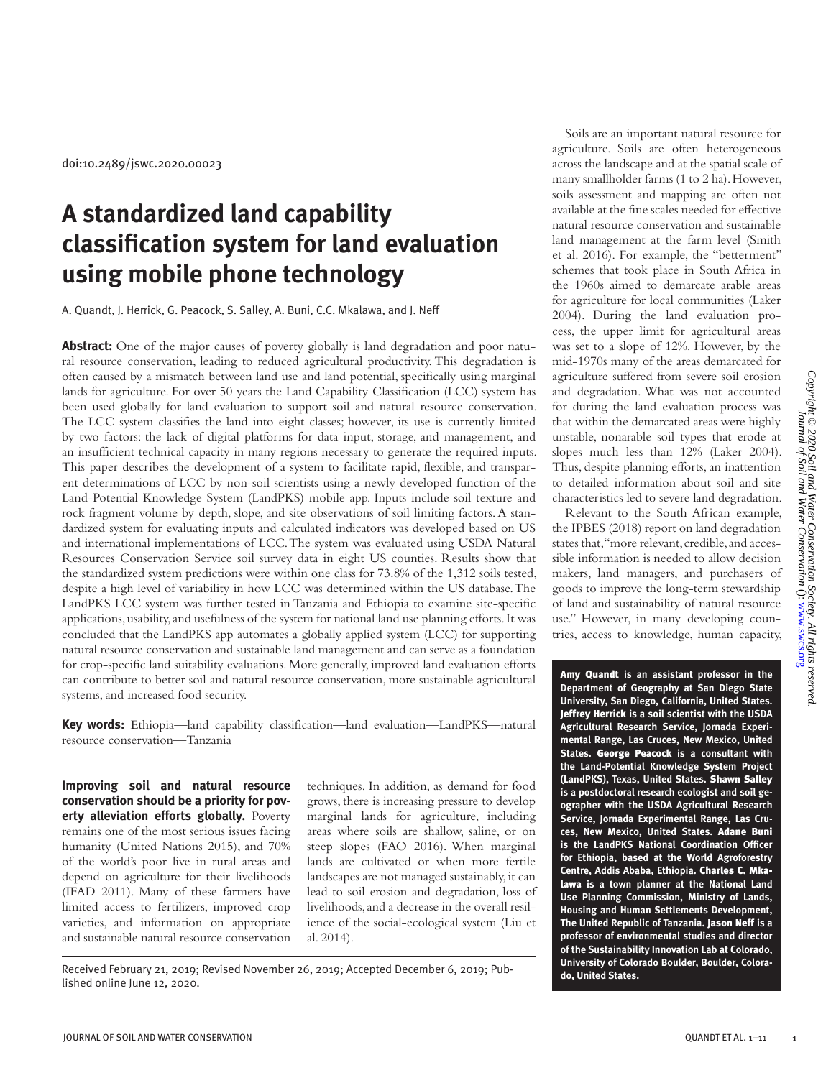doi:10.2489/jswc.2020.00023

# **A standardized land capability classification system for land evaluation using mobile phone technology**

A. Quandt, J. Herrick, G. Peacock, S. Salley, A. Buni, C.C. Mkalawa, and J. Neff

**Abstract:** One of the major causes of poverty globally is land degradation and poor natural resource conservation, leading to reduced agricultural productivity. This degradation is often caused by a mismatch between land use and land potential, specifically using marginal lands for agriculture. For over 50 years the Land Capability Classification (LCC) system has been used globally for land evaluation to support soil and natural resource conservation. The LCC system classifies the land into eight classes; however, its use is currently limited by two factors: the lack of digital platforms for data input, storage, and management, and an insufficient technical capacity in many regions necessary to generate the required inputs. This paper describes the development of a system to facilitate rapid, flexible, and transparent determinations of LCC by non-soil scientists using a newly developed function of the Land-Potential Knowledge System (LandPKS) mobile app. Inputs include soil texture and rock fragment volume by depth, slope, and site observations of soil limiting factors. A standardized system for evaluating inputs and calculated indicators was developed based on US and international implementations of LCC. The system was evaluated using USDA Natural Resources Conservation Service soil survey data in eight US counties. Results show that the standardized system predictions were within one class for 73.8% of the 1,312 soils tested, despite a high level of variability in how LCC was determined within the US database. The LandPKS LCC system was further tested in Tanzania and Ethiopia to examine site-specific applications, usability, and usefulness of the system for national land use planning efforts. It was concluded that the LandPKS app automates a globally applied system (LCC) for supporting natural resource conservation and sustainable land management and can serve as a foundation for crop-specific land suitability evaluations. More generally, improved land evaluation efforts can contribute to better soil and natural resource conservation, more sustainable agricultural systems, and increased food security.

**Key words:** Ethiopia—land capability classification—land evaluation—LandPKS—natural resource conservation—Tanzania

**Improving soil and natural resource conservation should be a priority for poverty alleviation efforts globally.** Poverty remains one of the most serious issues facing humanity (United Nations 2015), and 70% of the world's poor live in rural areas and depend on agriculture for their livelihoods (IFAD 2011). Many of these farmers have limited access to fertilizers, improved crop varieties, and information on appropriate and sustainable natural resource conservation

techniques. In addition, as demand for food grows, there is increasing pressure to develop marginal lands for agriculture, including areas where soils are shallow, saline, or on steep slopes (FAO 2016). When marginal lands are cultivated or when more fertile landscapes are not managed sustainably, it can lead to soil erosion and degradation, loss of livelihoods, and a decrease in the overall resilience of the social-ecological system (Liu et al. 2014).

Received February 21, 2019; Revised November 26, 2019; Accepted December 6, 2019; Published online June 12, 2020.

Soils are an important natural resource for agriculture. Soils are often heterogeneous across the landscape and at the spatial scale of many smallholder farms (1 to 2 ha). However, soils assessment and mapping are often not available at the fine scales needed for effective natural resource conservation and sustainable land management at the farm level (Smith et al. 2016). For example, the "betterment" schemes that took place in South Africa in the 1960s aimed to demarcate arable areas for agriculture for local communities (Laker 2004). During the land evaluation process, the upper limit for agricultural areas was set to a slope of 12%. However, by the mid-1970s many of the areas demarcated for agriculture suffered from severe soil erosion and degradation. What was not accounted for during the land evaluation process was that within the demarcated areas were highly unstable, nonarable soil types that erode at slopes much less than 12% (Laker 2004). Thus, despite planning efforts, an inattention to detailed information about soil and site characteristics led to severe land degradation.

Relevant to the South African example, the IPBES (2018) report on land degradation states that, "more relevant, credible, and accessible information is needed to allow decision makers, land managers, and purchasers of goods to improve the long-term stewardship of land and sustainability of natural resource use." However, in many developing countries, access to knowledge, human capacity,

Amy Quandt **is an assistant professor in the Department of Geography at San Diego State University, San Diego, California, United States.**  Jeffrey Herrick **is a soil scientist with the USDA Agricultural Research Service, Jornada Experimental Range, Las Cruces, New Mexico, United States.** George Peacock **is a consultant with the Land-Potential Knowledge System Project (LandPKS), Texas, United States.** Shawn Salley **is a postdoctoral research ecologist and soil geographer with the USDA Agricultural Research Service, Jornada Experimental Range, Las Cruces, New Mexico, United States.** Adane Buni **is the LandPKS National Coordination Officer for Ethiopia, based at the World Agroforestry Centre, Addis Ababa, Ethiopia.** Charles C. Mkalawa **is a town planner at the National Land Use Planning Commission, Ministry of Lands, Housing and Human Settlements Development, The United Republic of Tanzania.** Jason Neff **is a professor of environmental studies and director of the Sustainability Innovation Lab at Colorado, University of Colorado Boulder, Boulder, Colorado, United States.**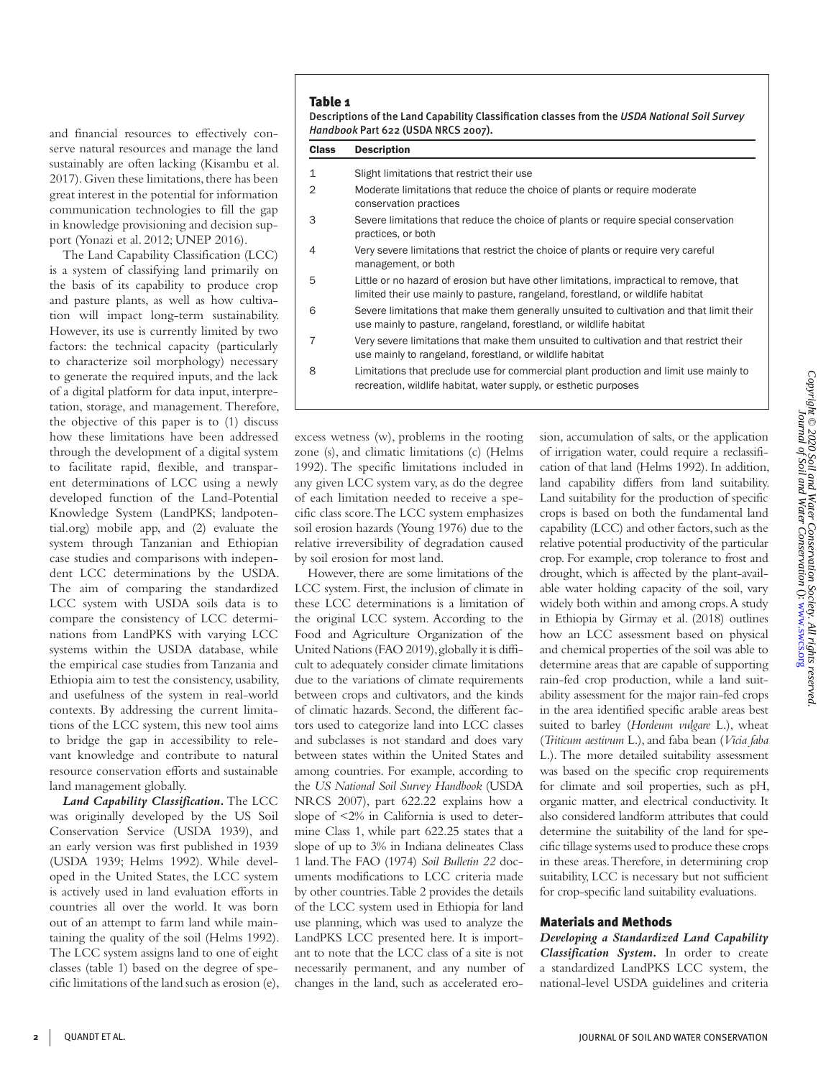and financial resources to effectively conserve natural resources and manage the land sustainably are often lacking (Kisambu et al. 2017). Given these limitations, there has been great interest in the potential for information communication technologies to fill the gap in knowledge provisioning and decision support (Yonazi et al. 2012; UNEP 2016).

The Land Capability Classification (LCC) is a system of classifying land primarily on the basis of its capability to produce crop and pasture plants, as well as how cultivation will impact long-term sustainability. However, its use is currently limited by two factors: the technical capacity (particularly to characterize soil morphology) necessary to generate the required inputs, and the lack of a digital platform for data input, interpretation, storage, and management. Therefore, the objective of this paper is to (1) discuss how these limitations have been addressed through the development of a digital system to facilitate rapid, flexible, and transparent determinations of LCC using a newly developed function of the Land-Potential Knowledge System (LandPKS; landpotential.org) mobile app, and (2) evaluate the system through Tanzanian and Ethiopian case studies and comparisons with independent LCC determinations by the USDA. The aim of comparing the standardized LCC system with USDA soils data is to compare the consistency of LCC determinations from LandPKS with varying LCC systems within the USDA database, while the empirical case studies from Tanzania and Ethiopia aim to test the consistency, usability, and usefulness of the system in real-world contexts. By addressing the current limitations of the LCC system, this new tool aims to bridge the gap in accessibility to relevant knowledge and contribute to natural resource conservation efforts and sustainable land management globally.

*Land Capability Classification.* The LCC was originally developed by the US Soil Conservation Service (USDA 1939), and an early version was first published in 1939 (USDA 1939; Helms 1992). While developed in the United States, the LCC system is actively used in land evaluation efforts in countries all over the world. It was born out of an attempt to farm land while maintaining the quality of the soil (Helms 1992). The LCC system assigns land to one of eight classes (table 1) based on the degree of specific limitations of the land such as erosion (e),

## Table 1

Descriptions of the Land Capability Classification classes from the *USDA National Soil Survey Handbook* Part 622 (USDA NRCS 2007).

| <b>Class</b>   | <b>Description</b>                                                                                                                                                        |
|----------------|---------------------------------------------------------------------------------------------------------------------------------------------------------------------------|
| 1              | Slight limitations that restrict their use                                                                                                                                |
| $\overline{2}$ | Moderate limitations that reduce the choice of plants or require moderate<br>conservation practices                                                                       |
| 3              | Severe limitations that reduce the choice of plants or require special conservation<br>practices, or both                                                                 |
| 4              | Very severe limitations that restrict the choice of plants or require very careful<br>management, or both                                                                 |
| 5              | Little or no hazard of erosion but have other limitations, impractical to remove, that<br>limited their use mainly to pasture, rangeland, forestland, or wildlife habitat |
| 6              | Severe limitations that make them generally unsuited to cultivation and that limit their<br>use mainly to pasture, rangeland, forestland, or wildlife habitat             |
|                | Very severe limitations that make them unsuited to cultivation and that restrict their<br>use mainly to rangeland, forestland, or wildlife habitat                        |
| 8              | Limitations that preclude use for commercial plant production and limit use mainly to<br>recreation, wildlife habitat, water supply, or esthetic purposes                 |

excess wetness (w), problems in the rooting zone (s), and climatic limitations (c) (Helms 1992). The specific limitations included in any given LCC system vary, as do the degree of each limitation needed to receive a specific class score. The LCC system emphasizes soil erosion hazards (Young 1976) due to the relative irreversibility of degradation caused by soil erosion for most land.

However, there are some limitations of the LCC system. First, the inclusion of climate in these LCC determinations is a limitation of the original LCC system. According to the Food and Agriculture Organization of the United Nations (FAO 2019), globally it is difficult to adequately consider climate limitations due to the variations of climate requirements between crops and cultivators, and the kinds of climatic hazards. Second, the different factors used to categorize land into LCC classes and subclasses is not standard and does vary between states within the United States and among countries. For example, according to the *US National Soil Survey Handbook* (USDA NRCS 2007), part 622.22 explains how a slope of <2% in California is used to determine Class 1, while part 622.25 states that a slope of up to 3% in Indiana delineates Class 1 land. The FAO (1974) *Soil Bulletin 22* documents modifications to LCC criteria made by other countries. Table 2 provides the details of the LCC system used in Ethiopia for land use planning, which was used to analyze the LandPKS LCC presented here. It is important to note that the LCC class of a site is not necessarily permanent, and any number of changes in the land, such as accelerated erosion, accumulation of salts, or the application of irrigation water, could require a reclassification of that land (Helms 1992). In addition, land capability differs from land suitability. Land suitability for the production of specific crops is based on both the fundamental land capability (LCC) and other factors, such as the relative potential productivity of the particular crop. For example, crop tolerance to frost and drought, which is affected by the plant-available water holding capacity of the soil, vary widely both within and among crops. A study in Ethiopia by Girmay et al. (2018) outlines how an LCC assessment based on physical and chemical properties of the soil was able to determine areas that are capable of supporting rain-fed crop production, while a land suitability assessment for the major rain-fed crops in the area identified specific arable areas best suited to barley (*Hordeum vulgare* L.), wheat (*Triticum aestivum* L.), and faba bean (*Vicia faba* L.). The more detailed suitability assessment was based on the specific crop requirements for climate and soil properties, such as pH, organic matter, and electrical conductivity. It also considered landform attributes that could determine the suitability of the land for specific tillage systems used to produce these crops in these areas. Therefore, in determining crop suitability, LCC is necessary but not sufficient for crop-specific land suitability evaluations.

#### Materials and Methods

*Developing a Standardized Land Capability Classification System.* In order to create a standardized LandPKS LCC system, the national-level USDA guidelines and criteria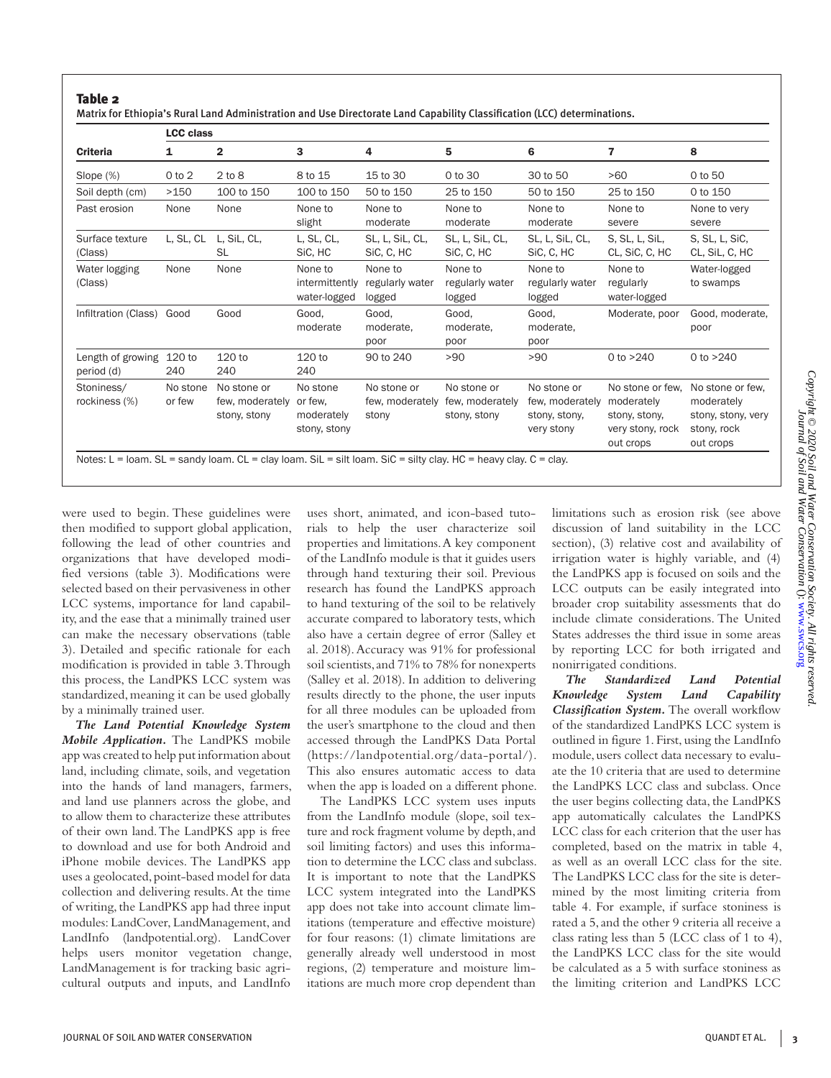|  |  |  | Matrix for Ethiopia's Rural Land Administration and Use Directorate Land Capability Classification (LCC) determinations. |
|--|--|--|--------------------------------------------------------------------------------------------------------------------------|
|--|--|--|--------------------------------------------------------------------------------------------------------------------------|

|                                 | <b>LCC</b> class         |                                                        |                                           |                                         |                                                |                                                               |                                                                                  |                                                                                  |  |  |  |  |
|---------------------------------|--------------------------|--------------------------------------------------------|-------------------------------------------|-----------------------------------------|------------------------------------------------|---------------------------------------------------------------|----------------------------------------------------------------------------------|----------------------------------------------------------------------------------|--|--|--|--|
| <b>Criteria</b>                 | 1                        | $\overline{2}$                                         | 3                                         | 4                                       | 5                                              | 6                                                             | $\overline{7}$                                                                   | 8                                                                                |  |  |  |  |
| Slope (%)                       | $0$ to $2$               | $2$ to $8$                                             | 8 to 15                                   | 15 to 30                                | 0 to 30                                        | 30 to 50                                                      | >60                                                                              | 0 to 50                                                                          |  |  |  |  |
| Soil depth (cm)                 | >150                     | 100 to 150                                             | 100 to 150                                | 50 to 150                               | 25 to 150                                      | 50 to 150                                                     | 25 to 150                                                                        | 0 to 150                                                                         |  |  |  |  |
| Past erosion                    | None                     | None                                                   | None to<br>slight                         | None to<br>moderate                     | None to<br>moderate                            | None to<br>moderate                                           | None to<br>severe                                                                | None to very<br>severe                                                           |  |  |  |  |
| Surface texture<br>(Class)      | L. SL. CL                | L, SiL, CL,<br><b>SL</b>                               | L. SL. CL.<br>SiC, HC                     | SL. L. SiL. CL.<br>SiC, C, HC           | SL. L. SiL. CL.<br>SiC, C, HC                  | SL. L. SiL. CL.<br>SiC, C, HC                                 | S. SL. L. SiL.<br>CL, SiC, C, HC                                                 | S. SL. L. SiC.<br>CL, SiL, C, HC                                                 |  |  |  |  |
| Water logging<br>(Class)        | None                     | None                                                   | None to<br>intermittently<br>water-logged | None to<br>regularly water<br>logged    | None to<br>regularly water<br>logged           | None to<br>regularly water<br>logged                          | None to<br>regularly<br>water-logged                                             | Water-logged<br>to swamps                                                        |  |  |  |  |
| Infiltration (Class)            | Good                     | Good                                                   | Good.<br>moderate                         | Good.<br>moderate.<br>poor              | Good.<br>moderate,<br>poor                     | Good,<br>moderate.<br>poor                                    | Moderate, poor                                                                   | Good, moderate,<br>poor                                                          |  |  |  |  |
| Length of growing<br>period (d) | 120 <sub>to</sub><br>240 | $120$ to<br>240                                        | $120$ to<br>240                           | 90 to 240                               | >90                                            | >90                                                           | 0 to $>240$                                                                      | 0 to $>240$                                                                      |  |  |  |  |
| Stoniness/<br>rockiness (%)     | No stone<br>or few       | No stone or<br>few, moderately or few,<br>stony, stony | No stone<br>moderately<br>stony, stony    | No stone or<br>few, moderately<br>stony | No stone or<br>few. moderately<br>stony, stony | No stone or<br>few, moderately<br>stony, stony,<br>very stony | No stone or few.<br>moderately<br>stony, stony,<br>very stony, rock<br>out crops | No stone or few.<br>moderately<br>stony, stony, very<br>stony, rock<br>out crops |  |  |  |  |

were used to begin. These guidelines were then modified to support global application, following the lead of other countries and organizations that have developed modified versions (table 3). Modifications were selected based on their pervasiveness in other LCC systems, importance for land capability, and the ease that a minimally trained user can make the necessary observations (table 3). Detailed and specific rationale for each modification is provided in table 3. Through this process, the LandPKS LCC system was standardized, meaning it can be used globally by a minimally trained user.

*The Land Potential Knowledge System Mobile Application.* The LandPKS mobile app was created to help put information about land, including climate, soils, and vegetation into the hands of land managers, farmers, and land use planners across the globe, and to allow them to characterize these attributes of their own land. The LandPKS app is free to download and use for both Android and iPhone mobile devices. The LandPKS app uses a geolocated, point-based model for data collection and delivering results. At the time of writing, the LandPKS app had three input modules: LandCover, LandManagement, and LandInfo (landpotential.org). LandCover helps users monitor vegetation change, LandManagement is for tracking basic agricultural outputs and inputs, and LandInfo

uses short, animated, and icon-based tutorials to help the user characterize soil properties and limitations. A key component of the LandInfo module is that it guides users through hand texturing their soil. Previous research has found the LandPKS approach to hand texturing of the soil to be relatively accurate compared to laboratory tests, which also have a certain degree of error (Salley et al. 2018). Accuracy was 91% for professional soil scientists, and 71% to 78% for nonexperts (Salley et al. 2018). In addition to delivering results directly to the phone, the user inputs for all three modules can be uploaded from the user's smartphone to the cloud and then accessed through the LandPKS Data Portal (https://landpotential.org/data-portal/). This also ensures automatic access to data when the app is loaded on a different phone.

The LandPKS LCC system uses inputs from the LandInfo module (slope, soil texture and rock fragment volume by depth, and soil limiting factors) and uses this information to determine the LCC class and subclass. It is important to note that the LandPKS LCC system integrated into the LandPKS app does not take into account climate limitations (temperature and effective moisture) for four reasons: (1) climate limitations are generally already well understood in most regions, (2) temperature and moisture limitations are much more crop dependent than limitations such as erosion risk (see above discussion of land suitability in the LCC section), (3) relative cost and availability of irrigation water is highly variable, and (4) the LandPKS app is focused on soils and the LCC outputs can be easily integrated into broader crop suitability assessments that do include climate considerations. The United States addresses the third issue in some areas by reporting LCC for both irrigated and nonirrigated conditions.

*The Standardized Land Potential Knowledge System Land Capability Classification System.* The overall workflow of the standardized LandPKS LCC system is outlined in figure 1. First, using the LandInfo module, users collect data necessary to evaluate the 10 criteria that are used to determine the LandPKS LCC class and subclass. Once the user begins collecting data, the LandPKS app automatically calculates the LandPKS LCC class for each criterion that the user has completed, based on the matrix in table 4, as well as an overall LCC class for the site. The LandPKS LCC class for the site is determined by the most limiting criteria from table 4. For example, if surface stoniness is rated a 5, and the other 9 criteria all receive a class rating less than 5 (LCC class of 1 to 4), the LandPKS LCC class for the site would be calculated as a 5 with surface stoniness as the limiting criterion and LandPKS LCC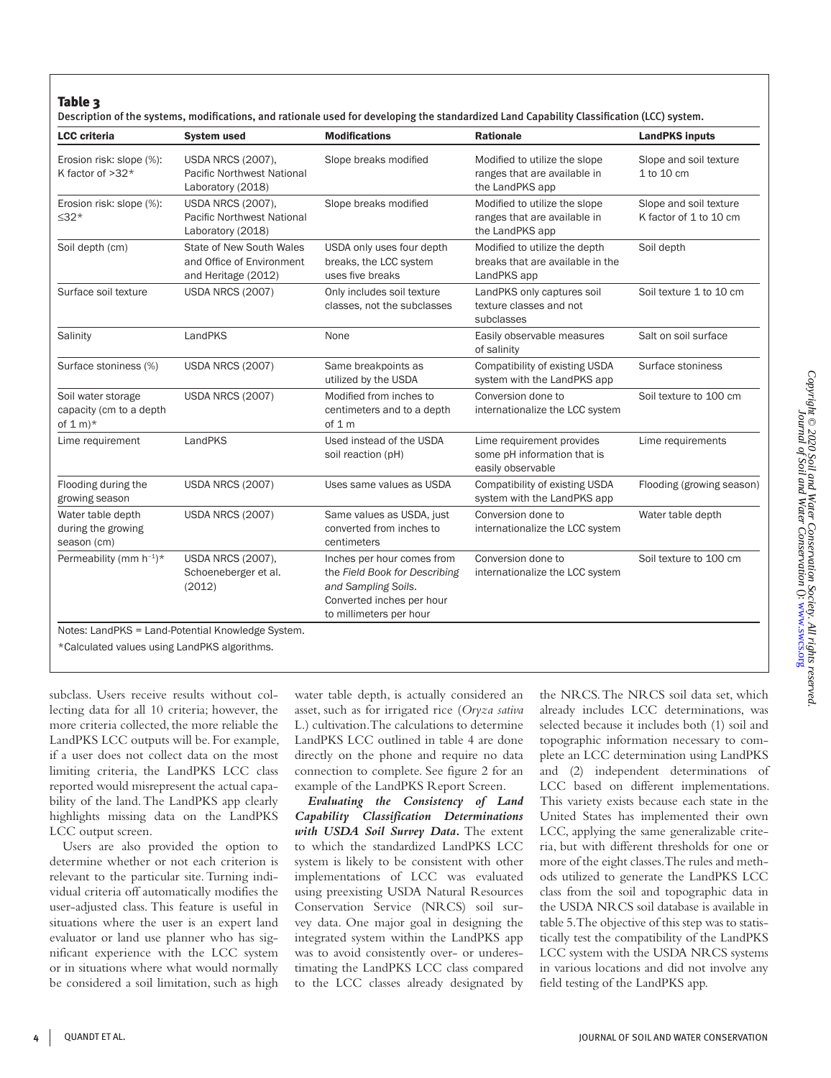#### Table 3

Description of the systems, modifications, and rationale used for developing the standardized Land Capability Classification (LCC) system.

| <b>System used</b>                                                                         | <b>Modifications</b>                                                    | <b>Rationale</b>                                                                                                                                                                                                                               | <b>LandPKS inputs</b>                            |
|--------------------------------------------------------------------------------------------|-------------------------------------------------------------------------|------------------------------------------------------------------------------------------------------------------------------------------------------------------------------------------------------------------------------------------------|--------------------------------------------------|
| <b>USDA NRCS (2007),</b><br>Pacific Northwest National<br>Laboratory (2018)                | Slope breaks modified                                                   | Modified to utilize the slope<br>ranges that are available in<br>the LandPKS app                                                                                                                                                               | Slope and soil texture<br>$1$ to $10$ cm         |
| <b>USDA NRCS (2007),</b><br><b>Pacific Northwest National</b><br>Laboratory (2018)         | Slope breaks modified                                                   | Modified to utilize the slope<br>ranges that are available in<br>the LandPKS app                                                                                                                                                               | Slope and soil texture<br>K factor of 1 to 10 cm |
| <b>State of New South Wales</b><br>and Office of Environment<br>and Heritage (2012)        | USDA only uses four depth<br>breaks, the LCC system<br>uses five breaks | Modified to utilize the depth<br>breaks that are available in the<br>LandPKS app                                                                                                                                                               | Soil depth                                       |
| <b>USDA NRCS (2007)</b>                                                                    | Only includes soil texture<br>classes, not the subclasses               | LandPKS only captures soil<br>texture classes and not<br>subclasses                                                                                                                                                                            | Soil texture 1 to 10 cm                          |
| Salinity<br>LandPKS                                                                        |                                                                         | Easily observable measures<br>of salinity                                                                                                                                                                                                      | Salt on soil surface                             |
| <b>USDA NRCS (2007)</b><br>Surface stoniness (%)                                           |                                                                         | Compatibility of existing USDA<br>system with the LandPKS app                                                                                                                                                                                  | Surface stoniness                                |
| <b>USDA NRCS (2007)</b>                                                                    | Modified from inches to<br>centimeters and to a depth<br>of 1 m         | Conversion done to<br>internationalize the LCC system                                                                                                                                                                                          | Soil texture to 100 cm                           |
| LandPKS                                                                                    | Used instead of the USDA<br>soil reaction (pH)                          | Lime requirement provides<br>some pH information that is<br>easily observable                                                                                                                                                                  | Lime requirements                                |
| <b>USDA NRCS (2007)</b>                                                                    | Uses same values as USDA                                                | Compatibility of existing USDA<br>system with the LandPKS app                                                                                                                                                                                  | Flooding (growing season)                        |
| <b>USDA NRCS (2007)</b><br>Water table depth<br>during the growing<br>season (cm)          |                                                                         | Conversion done to<br>internationalize the LCC system                                                                                                                                                                                          | Water table depth                                |
| <b>USDA NRCS (2007),</b><br>Permeability (mm $h^{-1}$ )*<br>Schoeneberger et al.<br>(2012) |                                                                         | Conversion done to<br>internationalize the LCC system                                                                                                                                                                                          | Soil texture to 100 cm                           |
|                                                                                            |                                                                         | None<br>Same breakpoints as<br>utilized by the USDA<br>Same values as USDA, just<br>converted from inches to<br>centimeters<br>Inches per hour comes from<br>the Field Book for Describing<br>and Sampling Soils.<br>Converted inches per hour |                                                  |

\*Calculated values using LandPKS algorithms.

subclass. Users receive results without collecting data for all 10 criteria; however, the more criteria collected, the more reliable the LandPKS LCC outputs will be. For example, if a user does not collect data on the most limiting criteria, the LandPKS LCC class reported would misrepresent the actual capability of the land. The LandPKS app clearly highlights missing data on the LandPKS LCC output screen.

Users are also provided the option to determine whether or not each criterion is relevant to the particular site. Turning individual criteria off automatically modifies the user-adjusted class. This feature is useful in situations where the user is an expert land evaluator or land use planner who has significant experience with the LCC system or in situations where what would normally be considered a soil limitation, such as high water table depth, is actually considered an asset, such as for irrigated rice (*Oryza sativa* L.) cultivation. The calculations to determine LandPKS LCC outlined in table 4 are done directly on the phone and require no data connection to complete. See figure 2 for an example of the LandPKS Report Screen.

*Evaluating the Consistency of Land Capability Classification Determinations with USDA Soil Survey Data.* The extent to which the standardized LandPKS LCC system is likely to be consistent with other implementations of LCC was evaluated using preexisting USDA Natural Resources Conservation Service (NRCS) soil survey data. One major goal in designing the integrated system within the LandPKS app was to avoid consistently over- or underestimating the LandPKS LCC class compared to the LCC classes already designated by the NRCS. The NRCS soil data set, which already includes LCC determinations, was selected because it includes both (1) soil and topographic information necessary to complete an LCC determination using LandPKS and (2) independent determinations of LCC based on different implementations. This variety exists because each state in the United States has implemented their own LCC, applying the same generalizable criteria, but with different thresholds for one or more of the eight classes. The rules and methods utilized to generate the LandPKS LCC class from the soil and topographic data in the USDA NRCS soil database is available in table 5. The objective of this step was to statistically test the compatibility of the LandPKS LCC system with the USDA NRCS systems in various locations and did not involve any field testing of the LandPKS app.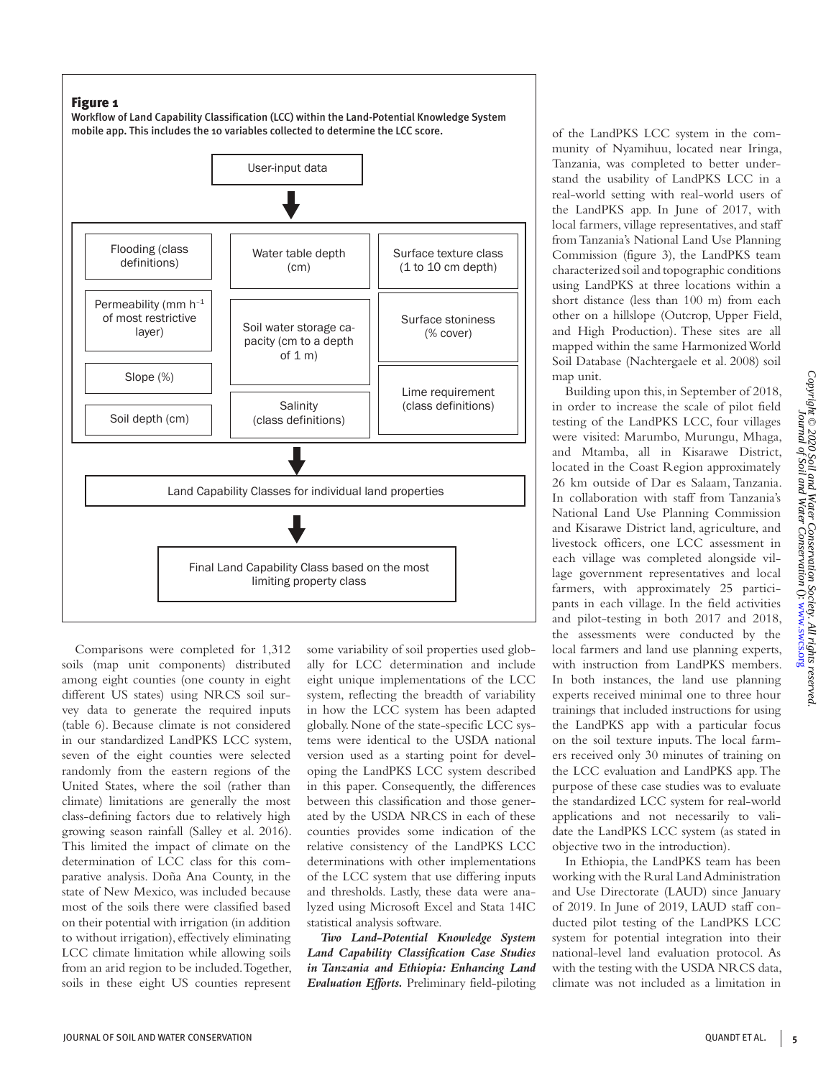

Comparisons were completed for 1,312 soils (map unit components) distributed among eight counties (one county in eight different US states) using NRCS soil survey data to generate the required inputs (table 6). Because climate is not considered in our standardized LandPKS LCC system, seven of the eight counties were selected randomly from the eastern regions of the United States, where the soil (rather than climate) limitations are generally the most class-defining factors due to relatively high growing season rainfall (Salley et al. 2016). This limited the impact of climate on the determination of LCC class for this comparative analysis. Doña Ana County, in the state of New Mexico, was included because most of the soils there were classified based on their potential with irrigation (in addition to without irrigation), effectively eliminating LCC climate limitation while allowing soils from an arid region to be included. Together, soils in these eight US counties represent

some variability of soil properties used globally for LCC determination and include eight unique implementations of the LCC system, reflecting the breadth of variability in how the LCC system has been adapted globally. None of the state-specific LCC systems were identical to the USDA national version used as a starting point for developing the LandPKS LCC system described in this paper. Consequently, the differences between this classification and those generated by the USDA NRCS in each of these counties provides some indication of the relative consistency of the LandPKS LCC determinations with other implementations of the LCC system that use differing inputs and thresholds. Lastly, these data were analyzed using Microsoft Excel and Stata 14IC statistical analysis software.

*Two Land-Potential Knowledge System Land Capability Classification Case Studies in Tanzania and Ethiopia: Enhancing Land Evaluation Efforts.* Preliminary field-piloting

of the LandPKS LCC system in the community of Nyamihuu, located near Iringa, Tanzania, was completed to better understand the usability of LandPKS LCC in a real-world setting with real-world users of the LandPKS app. In June of 2017, with local farmers, village representatives, and staff from Tanzania's National Land Use Planning Commission (figure 3), the LandPKS team characterized soil and topographic conditions using LandPKS at three locations within a short distance (less than 100 m) from each other on a hillslope (Outcrop, Upper Field, and High Production). These sites are all mapped within the same Harmonized World Soil Database (Nachtergaele et al. 2008) soil map unit.

Building upon this, in September of 2018, in order to increase the scale of pilot field testing of the LandPKS LCC, four villages were visited: Marumbo, Murungu, Mhaga, and Mtamba, all in Kisarawe District, located in the Coast Region approximately 26 km outside of Dar es Salaam, Tanzania. In collaboration with staff from Tanzania's National Land Use Planning Commission and Kisarawe District land, agriculture, and livestock officers, one LCC assessment in each village was completed alongside village government representatives and local farmers, with approximately 25 participants in each village. In the field activities and pilot-testing in both 2017 and 2018, the assessments were conducted by the local farmers and land use planning experts, with instruction from LandPKS members. In both instances, the land use planning experts received minimal one to three hour trainings that included instructions for using the LandPKS app with a particular focus on the soil texture inputs. The local farmers received only 30 minutes of training on the LCC evaluation and LandPKS app. The purpose of these case studies was to evaluate the standardized LCC system for real-world applications and not necessarily to validate the LandPKS LCC system (as stated in objective two in the introduction).

In Ethiopia, the LandPKS team has been working with the Rural Land Administration and Use Directorate (LAUD) since January of 2019. In June of 2019, LAUD staff conducted pilot testing of the LandPKS LCC system for potential integration into their national-level land evaluation protocol. As with the testing with the USDA NRCS data, climate was not included as a limitation in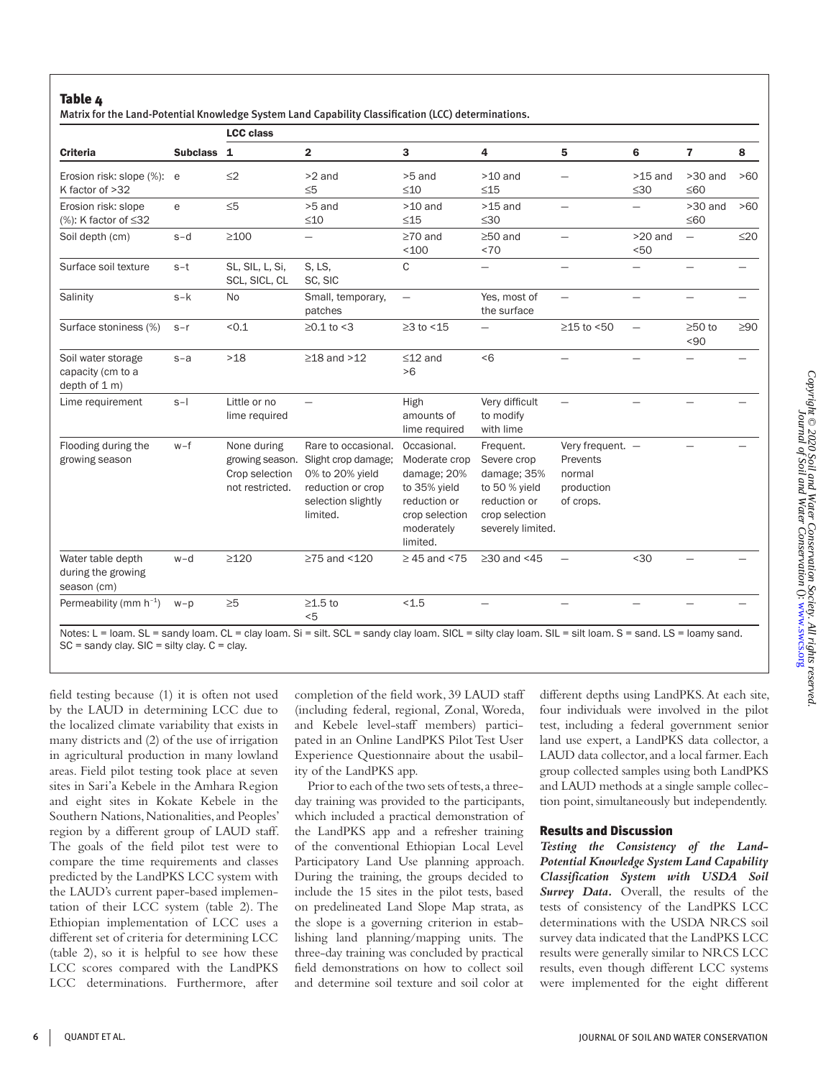|                                                                     |                       | <b>LCC class</b>                                                    |                                                                                                                      |                                                                                                                         |                                                                                                                 |                                                                   |                          |                          |           |  |  |
|---------------------------------------------------------------------|-----------------------|---------------------------------------------------------------------|----------------------------------------------------------------------------------------------------------------------|-------------------------------------------------------------------------------------------------------------------------|-----------------------------------------------------------------------------------------------------------------|-------------------------------------------------------------------|--------------------------|--------------------------|-----------|--|--|
| <b>Criteria</b>                                                     | Subclass <sub>1</sub> |                                                                     | $\overline{\mathbf{2}}$                                                                                              | 3                                                                                                                       | $\overline{\mathbf{4}}$                                                                                         | 5                                                                 | 6                        | $\overline{7}$           | 8         |  |  |
| Erosion risk: slope (%): e<br>K factor of >32                       |                       | $\leq$ 2                                                            | $>2$ and<br>$\leq 5$                                                                                                 | >5 and<br>$\leq 10$                                                                                                     | $>10$ and<br>$\leq 15$                                                                                          |                                                                   | $>15$ and<br>$\leq 30$   | $>30$ and<br>$\leq 60$   | >60       |  |  |
| Erosion risk: slope<br>(%): K factor of ≤32                         | e                     | $\leq 5$                                                            | $>5$ and<br>$\leq$ 10                                                                                                | $>10$ and<br>$\leq$ 15                                                                                                  | $>15$ and<br>≤30                                                                                                | $\overline{\phantom{0}}$                                          | $\overline{\phantom{0}}$ | $>30$ and<br>$\leq 60$   | >60       |  |  |
| Soil depth (cm)                                                     | $s-d$                 | $\geq$ 100                                                          |                                                                                                                      | $\geq 70$ and<br><100                                                                                                   | $\geq$ 50 and<br><70                                                                                            | $\overline{\phantom{0}}$                                          | $>20$ and<br><50         | $\overline{\phantom{m}}$ | $\leq$ 20 |  |  |
| Surface soil texture                                                | $s-t$                 | SL, SIL, L, Si,<br>SCL, SICL, CL                                    | S.LS.<br>SC, SIC                                                                                                     | C                                                                                                                       | $\overline{\phantom{0}}$                                                                                        | $\overline{\phantom{0}}$                                          |                          | $\overline{\phantom{0}}$ |           |  |  |
| Salinity                                                            | $s - k$               | No                                                                  | Small, temporary,<br>patches                                                                                         | $\overline{\phantom{0}}$                                                                                                | Yes, most of<br>the surface                                                                                     |                                                                   | $\overline{\phantom{0}}$ |                          |           |  |  |
| Surface stoniness (%)                                               | $S - r$               | < 0.1                                                               | $\geq$ 0.1 to <3                                                                                                     | $\geq$ 3 to $<$ 15                                                                                                      |                                                                                                                 | $\geq$ 15 to <50                                                  | $\equiv$                 | $\geq 50$ to<br>$90$     | $\geq 90$ |  |  |
| Soil water storage<br>capacity (cm to a<br>depth of $1 \text{ m}$ ) | $s-a$                 | $>18$                                                               | $\geq$ 18 and $>$ 12                                                                                                 | $≤12$ and<br>>6                                                                                                         | < 6                                                                                                             |                                                                   |                          |                          |           |  |  |
| Lime requirement                                                    | $S-I$                 | Little or no<br>lime required                                       |                                                                                                                      | High<br>amounts of<br>lime required                                                                                     | Very difficult<br>to modify<br>with lime                                                                        |                                                                   |                          |                          |           |  |  |
| Flooding during the<br>growing season                               | $w-f$                 | None during<br>growing season.<br>Crop selection<br>not restricted. | Rare to occasional.<br>Slight crop damage;<br>0% to 20% yield<br>reduction or crop<br>selection slightly<br>limited. | Occasional.<br>Moderate crop<br>damage; 20%<br>to 35% yield<br>reduction or<br>crop selection<br>moderately<br>limited. | Frequent.<br>Severe crop<br>damage; 35%<br>to 50 % yield<br>reduction or<br>crop selection<br>severely limited. | Very frequent. -<br>Prevents<br>normal<br>production<br>of crops. |                          |                          |           |  |  |
| Water table depth<br>during the growing<br>season (cm)              | $w-d$                 | $\geq$ 120                                                          | $\geq$ 75 and <120                                                                                                   | $\geq$ 45 and <75                                                                                                       | $\geq$ 30 and <45                                                                                               | $\equiv$                                                          | < 30                     |                          |           |  |  |
| Permeability (mm $h^{-1}$ )                                         | $W - D$               | $\geq 5$                                                            | $\geq$ 1.5 to<br>< 5                                                                                                 | < 1.5                                                                                                                   |                                                                                                                 |                                                                   |                          |                          |           |  |  |

Notes: L = loam. SL = sandy loam. CL = clay loam. Si = silt. SCL = sandy clay loam. SICL = silty clay loam. SIL = silt loam. S = sand. LS = loamy sand.  $SC =$  sandy clay.  $SIC =$  silty clay.  $C =$  clay.

field testing because (1) it is often not used by the LAUD in determining LCC due to the localized climate variability that exists in many districts and (2) of the use of irrigation in agricultural production in many lowland areas. Field pilot testing took place at seven sites in Sari'a Kebele in the Amhara Region and eight sites in Kokate Kebele in the Southern Nations, Nationalities, and Peoples' region by a different group of LAUD staff. The goals of the field pilot test were to compare the time requirements and classes predicted by the LandPKS LCC system with the LAUD's current paper-based implementation of their LCC system (table 2). The Ethiopian implementation of LCC uses a different set of criteria for determining LCC (table 2), so it is helpful to see how these LCC scores compared with the LandPKS LCC determinations. Furthermore, after completion of the field work, 39 LAUD staff (including federal, regional, Zonal, Woreda, and Kebele level-staff members) participated in an Online LandPKS Pilot Test User Experience Questionnaire about the usability of the LandPKS app.

Prior to each of the two sets of tests, a threeday training was provided to the participants, which included a practical demonstration of the LandPKS app and a refresher training of the conventional Ethiopian Local Level Participatory Land Use planning approach. During the training, the groups decided to include the 15 sites in the pilot tests, based on predelineated Land Slope Map strata, as the slope is a governing criterion in establishing land planning/mapping units. The three-day training was concluded by practical field demonstrations on how to collect soil and determine soil texture and soil color at different depths using LandPKS. At each site, four individuals were involved in the pilot test, including a federal government senior land use expert, a LandPKS data collector, a LAUD data collector, and a local farmer. Each group collected samples using both LandPKS and LAUD methods at a single sample collection point, simultaneously but independently.

#### Results and Discussion

*Testing the Consistency of the Land-Potential Knowledge System Land Capability Classification System with USDA Soil*  **Survey Data.** Overall, the results of the tests of consistency of the LandPKS LCC determinations with the USDA NRCS soil survey data indicated that the LandPKS LCC results were generally similar to NRCS LCC results, even though different LCC systems were implemented for the eight different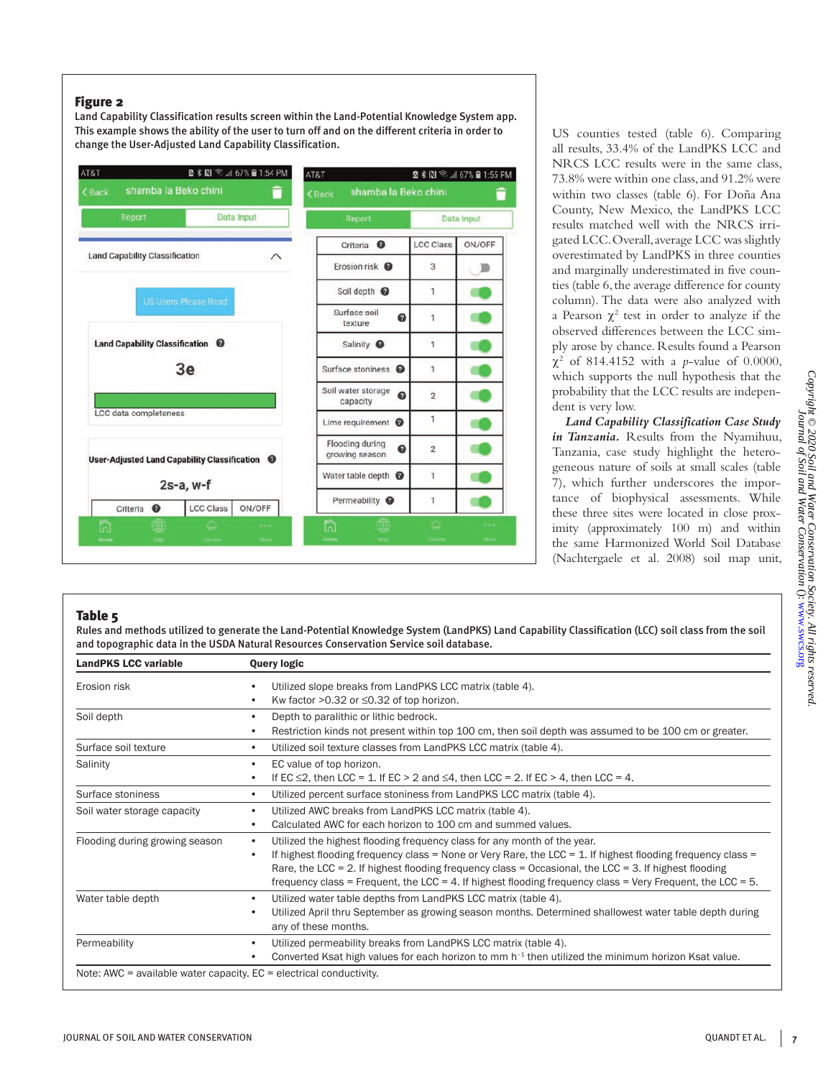## Figure 2

Land Capability Classification results screen within the Land-Potential Knowledge System app. This example shows the ability of the user to turn off and on the different criteria in order to change the User-Adjusted Land Capability Classification.

| AT&T<br><b><back< b=""></back<></b> | shamba la Beko chini                           | <b>■ 多刷 ©  67% ■ 1:54 PM</b><br>П | AT&T<br><b><back< b=""></back<></b> | shamba la Beko chini | 图 米 刷 <sup>全</sup> 1 67% ■ 1:55 PM |            |
|-------------------------------------|------------------------------------------------|-----------------------------------|-------------------------------------|----------------------|------------------------------------|------------|
| Report                              |                                                | Data Input                        | Report                              |                      |                                    | Data Input |
|                                     |                                                |                                   | Criteria                            | ◙                    | <b>LCC Class</b>                   | ON/OFF     |
| Land Capability Classification      |                                                |                                   | Erosion risk <sup>@</sup>           |                      | 3                                  |            |
|                                     | <b>US Users Please Read</b>                    |                                   | Soil depth <sup>O</sup>             |                      | 1                                  |            |
|                                     |                                                |                                   | Surface soil<br>texture             | 0                    | $\mathbf{1}$                       |            |
| Land Capability Classification @    |                                                |                                   | Salinity <sup>O</sup>               |                      | 1                                  |            |
|                                     | 3e                                             |                                   | Surface stoniness @                 |                      | 1                                  |            |
|                                     |                                                |                                   | Soil water storage<br>capacity      | $\Omega$             | $\overline{2}$                     |            |
| LCC data completeness               |                                                |                                   | Lime requirement <sup>@</sup>       |                      | 1                                  |            |
|                                     | User-Adjusted Land Capability Classification @ |                                   | Flooding during<br>growing season   | $\bullet$            | $\overline{2}$                     |            |
|                                     | 2s-a, w-f                                      |                                   | Water table depth @                 |                      | ï                                  |            |
| 0<br>Criteria                       | LCC Class                                      | ON/OFF                            | Permeability <sup>@</sup>           |                      | 1                                  |            |
| n<br>Home                           | ♤<br><b>Oinus</b>                              | in a<br><b>More</b>               | ៉ោ<br>Home                          |                      | ۵<br>Climate                       | More       |

US counties tested (table 6). Comparing all results, 33.4% of the LandPKS LCC and NRCS LCC results were in the same class, 73.8% were within one class, and 91.2% were within two classes (table 6). For Doña Ana County, New Mexico, the LandPKS LCC results matched well with the NRCS irrigated LCC. Overall, average LCC was slightly overestimated by LandPKS in three counties and marginally underestimated in five counties (table 6, the average difference for county column). The data were also analyzed with a Pearson  $\chi^2$  test in order to analyze if the observed differences between the LCC simply arose by chance. Results found a Pearson  $χ²$  of 814.4152 with a *p*-value of 0.0000, which supports the null hypothesis that the probability that the LCC results are independent is very low.

*Land Capability Classification Case Study in Tanzania.* Results from the Nyamihuu, Tanzania, case study highlight the heterogeneous nature of soils at small scales (table 7), which further underscores the importance of biophysical assessments. While these three sites were located in close proximity (approximately 100 m) and within the same Harmonized World Soil Database (Nachtergaele et al. 2008) soil map unit,

# Table 5

Rules and methods utilized to generate the Land-Potential Knowledge System (LandPKS) Land Capability Classification (LCC) soil class from the soil and topographic data in the USDA Natural Resources Conservation Service soil database.

| <b>LandPKS LCC variable</b>                                           | <b>Query logic</b>                                                                                                                                                                                                                                                                                                                                                                                                                       |  |  |  |  |  |  |
|-----------------------------------------------------------------------|------------------------------------------------------------------------------------------------------------------------------------------------------------------------------------------------------------------------------------------------------------------------------------------------------------------------------------------------------------------------------------------------------------------------------------------|--|--|--|--|--|--|
| Erosion risk                                                          | Utilized slope breaks from LandPKS LCC matrix (table 4).<br>$\bullet$<br>Kw factor > 0.32 or $\leq$ 0.32 of top horizon.<br>$\bullet$                                                                                                                                                                                                                                                                                                    |  |  |  |  |  |  |
| Soil depth                                                            | Depth to paralithic or lithic bedrock.<br>٠<br>Restriction kinds not present within top 100 cm, then soil depth was assumed to be 100 cm or greater.<br>$\bullet$                                                                                                                                                                                                                                                                        |  |  |  |  |  |  |
| Surface soil texture                                                  | Utilized soil texture classes from LandPKS LCC matrix (table 4).<br>$\bullet$                                                                                                                                                                                                                                                                                                                                                            |  |  |  |  |  |  |
| Salinity                                                              | EC value of top horizon.<br>$\bullet$<br>If EC $\leq$ 2, then LCC = 1. If EC > 2 and $\leq$ 4, then LCC = 2. If EC > 4, then LCC = 4.<br>$\bullet$                                                                                                                                                                                                                                                                                       |  |  |  |  |  |  |
| Surface stoniness                                                     | Utilized percent surface stoniness from LandPKS LCC matrix (table 4).<br>$\bullet$                                                                                                                                                                                                                                                                                                                                                       |  |  |  |  |  |  |
| Soil water storage capacity                                           | Utilized AWC breaks from LandPKS LCC matrix (table 4).<br>$\bullet$<br>Calculated AWC for each horizon to 100 cm and summed values.<br>$\bullet$                                                                                                                                                                                                                                                                                         |  |  |  |  |  |  |
| Flooding during growing season                                        | Utilized the highest flooding frequency class for any month of the year.<br>$\bullet$<br>If highest flooding frequency class = None or Very Rare, the LCC = 1. If highest flooding frequency class =<br>$\bullet$<br>Rare, the LCC = 2. If highest flooding frequency class = Occasional, the LCC = 3. If highest flooding<br>frequency class = Frequent, the LCC = 4. If highest flooding frequency class = Very Frequent, the LCC = 5. |  |  |  |  |  |  |
| Water table depth                                                     | Utilized water table depths from LandPKS LCC matrix (table 4).<br>$\bullet$<br>Utilized April thru September as growing season months. Determined shallowest water table depth during<br>$\bullet$<br>any of these months.                                                                                                                                                                                                               |  |  |  |  |  |  |
| Permeability                                                          | Utilized permeability breaks from LandPKS LCC matrix (table 4).<br>$\bullet$<br>Converted Ksat high values for each horizon to mm $h^{-1}$ then utilized the minimum horizon Ksat value.                                                                                                                                                                                                                                                 |  |  |  |  |  |  |
| Note: AWC = available water capacity. $EC =$ electrical conductivity. |                                                                                                                                                                                                                                                                                                                                                                                                                                          |  |  |  |  |  |  |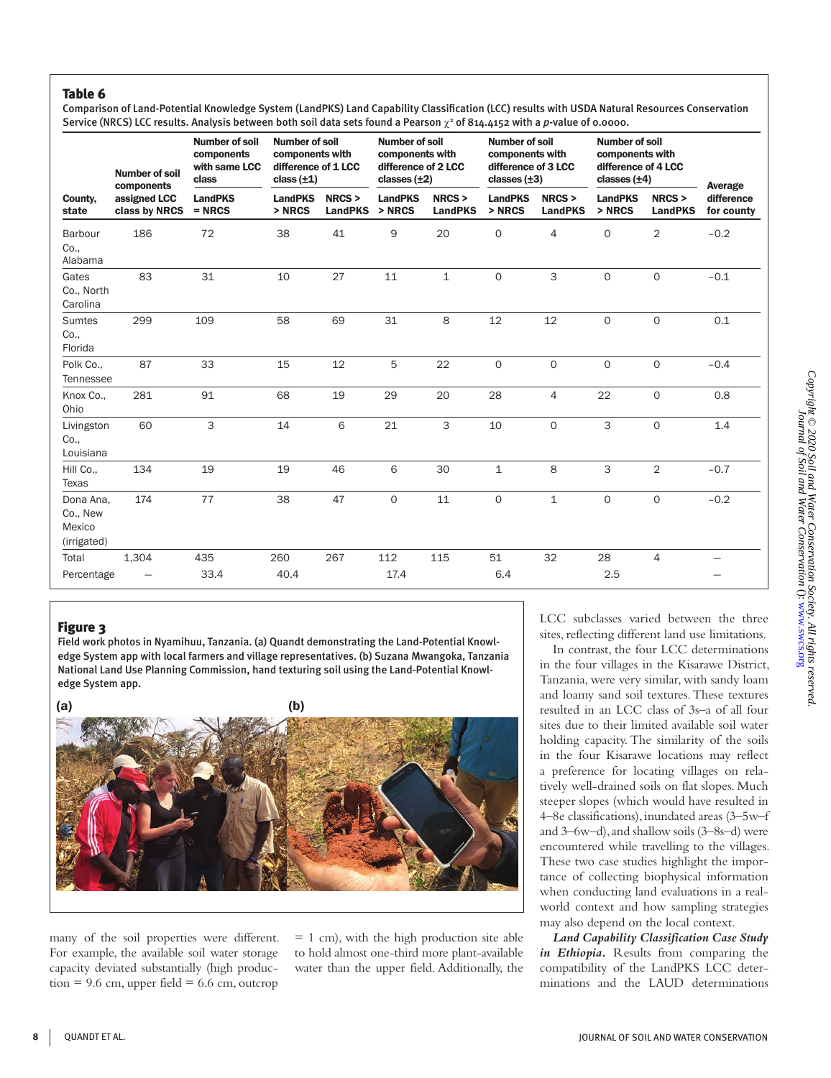#### Table 6

Comparison of Land-Potential Knowledge System (LandPKS) Land Capability Classification (LCC) results with USDA Natural Resources Conservation Service (NRCS) LCC results. Analysis between both soil data sets found a Pearson χ<sup>2</sup> of 814.4152 with a *p-*value of 0.0000.

|                                                | <b>Number of soil</b><br>components | <b>Number of soil</b><br>components<br>with same LCC<br>class | <b>Number of soil</b><br>components with<br>difference of 1 LCC<br>class $(\pm 1)$ |                            | <b>Number of soil</b><br>components with<br>difference of 2 LCC<br>classes $(\pm 2)$ |                            | <b>Number of soil</b><br>components with<br>difference of 3 LCC<br>classes $(\pm 3)$ |                            | <b>Number of soil</b><br>components with<br>difference of 4 LCC<br>classes $(\pm 4)$ |                          | Average                  |
|------------------------------------------------|-------------------------------------|---------------------------------------------------------------|------------------------------------------------------------------------------------|----------------------------|--------------------------------------------------------------------------------------|----------------------------|--------------------------------------------------------------------------------------|----------------------------|--------------------------------------------------------------------------------------|--------------------------|--------------------------|
| County,<br>state                               | assigned LCC<br>class by NRCS       | <b>LandPKS</b><br>$= NRCS$                                    | <b>LandPKS</b><br>> NRCS                                                           | $NRCS$ ><br><b>LandPKS</b> | <b>LandPKS</b><br>> NRCS                                                             | $NRCS$ ><br><b>LandPKS</b> | <b>LandPKS</b><br>> NRCS                                                             | $NRCS$ ><br><b>LandPKS</b> | <b>LandPKS</b><br>> NRCS                                                             | NRCS ><br><b>LandPKS</b> | difference<br>for county |
| Barbour<br>Co.<br>Alabama                      | 186                                 | 72                                                            | 38                                                                                 | 41                         | 9                                                                                    | 20                         | $\Omega$                                                                             | $\overline{4}$             | $\circ$                                                                              | $\overline{2}$           | $-0.2$                   |
| Gates<br>Co., North<br>Carolina                | 83                                  | 31                                                            | 10                                                                                 | 27                         | 11                                                                                   | $\mathbf 1$                | $\circ$                                                                              | 3                          | 0                                                                                    | $\mathsf{O}$             | $-0.1$                   |
| <b>Sumtes</b><br>Co.<br>Florida                | 299                                 | 109                                                           | 58                                                                                 | 69                         | 31                                                                                   | 8                          | 12                                                                                   | 12                         | $\circ$                                                                              | 0                        | 0.1                      |
| Polk Co.,<br>Tennessee                         | 87                                  | 33                                                            | 15                                                                                 | 12                         | 5                                                                                    | 22                         | $\Omega$                                                                             | $\circ$                    | $\circ$                                                                              | $\Omega$                 | $-0.4$                   |
| Knox Co.,<br>Ohio                              | 281                                 | 91                                                            | 68                                                                                 | 19                         | 29                                                                                   | 20                         | 28                                                                                   | $\overline{4}$             | 22                                                                                   | $\mathsf{O}$             | 0.8                      |
| Livingston<br>Co.<br>Louisiana                 | 60                                  | 3                                                             | 14                                                                                 | 6                          | 21                                                                                   | 3                          | 10                                                                                   | $\Omega$                   | 3                                                                                    | $\Omega$                 | 1.4                      |
| Hill Co.,<br>Texas                             | 134                                 | 19                                                            | 19                                                                                 | 46                         | 6                                                                                    | 30                         | $\mathbf{1}$                                                                         | 8                          | 3                                                                                    | $\overline{2}$           | $-0.7$                   |
| Dona Ana.<br>Co., New<br>Mexico<br>(irrigated) | 174                                 | 77                                                            | 38                                                                                 | 47                         | $\Omega$                                                                             | 11                         | $\Omega$                                                                             | $\mathbf{1}$               | $\Omega$                                                                             | $\Omega$                 | $-0.2$                   |
| Total                                          | 1,304                               | 435                                                           | 260                                                                                | 267                        | 112                                                                                  | 115                        | 51                                                                                   | 32                         | 28                                                                                   | 4                        |                          |
| Percentage                                     |                                     | 33.4                                                          | 40.4                                                                               |                            | 17.4                                                                                 |                            | 6.4                                                                                  |                            | 2.5                                                                                  |                          |                          |

## Figure 3

Field work photos in Nyamihuu, Tanzania. (a) Quandt demonstrating the Land-Potential Knowledge System app with local farmers and village representatives. (b) Suzana Mwangoka, Tanzania National Land Use Planning Commission, hand texturing soil using the Land-Potential Knowledge System app.



many of the soil properties were different. For example, the available soil water storage capacity deviated substantially (high production =  $9.6$  cm, upper field =  $6.6$  cm, outcrop

 $= 1$  cm), with the high production site able to hold almost one-third more plant-available water than the upper field. Additionally, the

LCC subclasses varied between the three sites, reflecting different land use limitations.

In contrast, the four LCC determinations in the four villages in the Kisarawe District, Tanzania, were very similar, with sandy loam and loamy sand soil textures. These textures resulted in an LCC class of 3s–a of all four sites due to their limited available soil water holding capacity. The similarity of the soils in the four Kisarawe locations may reflect a preference for locating villages on relatively well-drained soils on flat slopes. Much steeper slopes (which would have resulted in 4–8e classifications), inundated areas (3–5w–f and 3–6w–d), and shallow soils (3–8s–d) were encountered while travelling to the villages. These two case studies highlight the importance of collecting biophysical information when conducting land evaluations in a realworld context and how sampling strategies may also depend on the local context.

*Land Capability Classification Case Study in Ethiopia.* Results from comparing the compatibility of the LandPKS LCC determinations and the LAUD determinations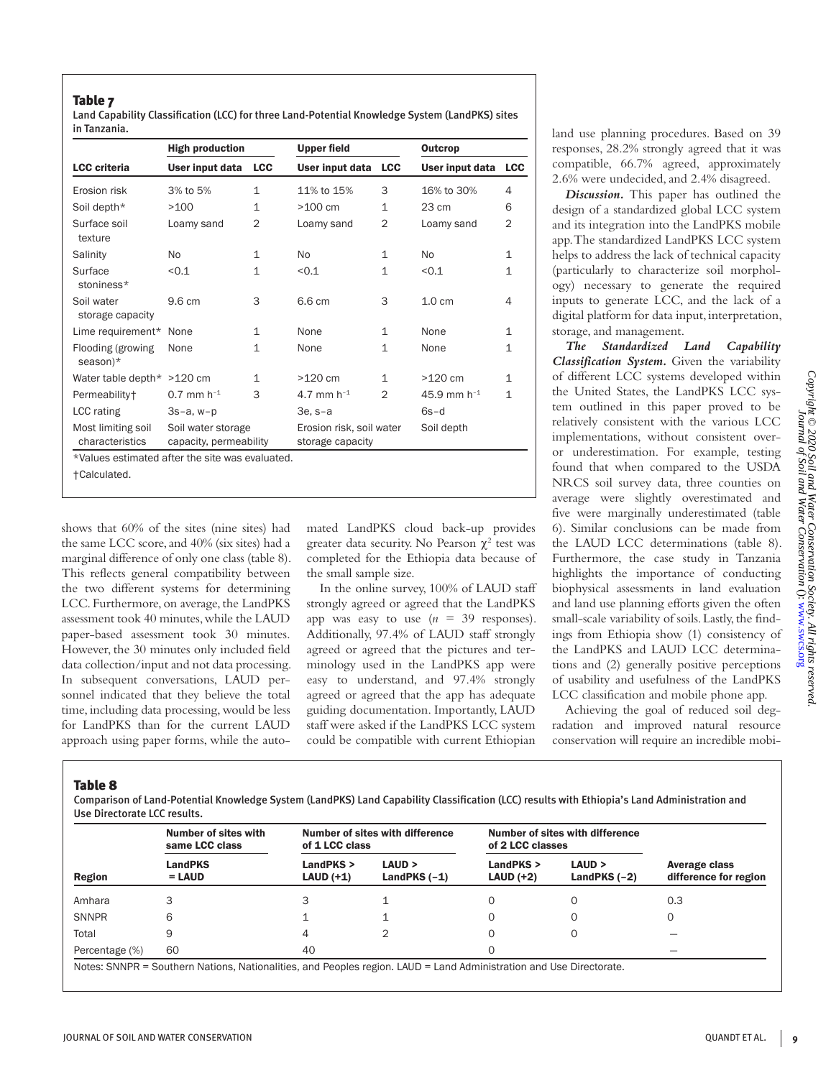#### Table 7

Land Capability Classification (LCC) for three Land-Potential Knowledge System (LandPKS) sites in Tanzania.

|                                                                                       | <b>High production</b>       |                                              | <b>Upper field</b>           |                | <b>Outcrop</b>      |                |  |
|---------------------------------------------------------------------------------------|------------------------------|----------------------------------------------|------------------------------|----------------|---------------------|----------------|--|
| <b>LCC</b> criteria                                                                   | User input data              | <b>LCC</b>                                   | User input data LCC          |                | User input data LCC |                |  |
| Erosion risk                                                                          | 3% to 5%                     | $\mathbf{1}$                                 | 11% to 15%                   | 3              | 16% to 30%          | 4              |  |
| Soil depth*                                                                           | >100                         | $\mathbf{1}$                                 | $>100$ cm                    | 1              | 23 cm               | 6              |  |
| Surface soil<br>texture                                                               | $\overline{2}$<br>Loamy sand |                                              | $\overline{2}$<br>Loamy sand |                | Loamy sand          | $\overline{2}$ |  |
| Salinity                                                                              | <b>No</b>                    | $\mathbf{1}$                                 | N <sub>0</sub>               | 1              | N <sub>0</sub>      | 1              |  |
| Surface<br>stoniness*                                                                 | < 0.1                        | $\mathbf{1}$                                 | < 0.1                        | 1              | < 0.1               | 1              |  |
| Soil water<br>storage capacity                                                        | 9.6 cm                       | 3                                            | 6.6 cm                       | 3              | $1.0 \text{ cm}$    | 4              |  |
| Lime requirement*                                                                     | None                         | $\mathbf{1}$                                 | None                         | 1              | None                | 1              |  |
| Flooding (growing<br>season)*                                                         | None                         | $\mathbf{1}$                                 | None                         | 1              | None                | 1              |  |
| Water table depth $* > 120$ cm                                                        |                              | 1                                            | $>120$ cm                    | 1              | $>120$ cm           | 1              |  |
| Permeability <sup>+</sup>                                                             | $0.7$ mm h <sup>-1</sup>     | 3                                            | 4.7 mm $h^{-1}$              | $\mathfrak{D}$ | 45.9 mm $h^{-1}$    | 1              |  |
| LCC rating                                                                            | $3s-a, w-p$                  |                                              | $3e$ , s-a                   |                | $6s-d$              |                |  |
| Most limiting soil<br>Soil water storage<br>characteristics<br>capacity, permeability |                              | Erosion risk, soil water<br>storage capacity |                              |                | Soil depth          |                |  |
| *Values estimated after the site was evaluated.                                       |                              |                                              |                              |                |                     |                |  |
| +Calculated.                                                                          |                              |                                              |                              |                |                     |                |  |

shows that 60% of the sites (nine sites) had the same LCC score, and 40% (six sites) had a marginal difference of only one class (table 8). This reflects general compatibility between the two different systems for determining LCC. Furthermore, on average, the LandPKS assessment took 40 minutes, while the LAUD paper-based assessment took 30 minutes. However, the 30 minutes only included field data collection/input and not data processing. In subsequent conversations, LAUD personnel indicated that they believe the total time, including data processing, would be less for LandPKS than for the current LAUD approach using paper forms, while the auto-

mated LandPKS cloud back-up provides greater data security. No Pearson  $\chi^2$  test was completed for the Ethiopia data because of the small sample size.

In the online survey, 100% of LAUD staff strongly agreed or agreed that the LandPKS app was easy to use  $(n = 39$  responses). Additionally, 97.4% of LAUD staff strongly agreed or agreed that the pictures and terminology used in the LandPKS app were easy to understand, and 97.4% strongly agreed or agreed that the app has adequate guiding documentation. Importantly, LAUD staff were asked if the LandPKS LCC system could be compatible with current Ethiopian

land use planning procedures. Based on 39 responses, 28.2% strongly agreed that it was compatible, 66.7% agreed, approximately 2.6% were undecided, and 2.4% disagreed.

*Discussion.* This paper has outlined the design of a standardized global LCC system and its integration into the LandPKS mobile app. The standardized LandPKS LCC system helps to address the lack of technical capacity (particularly to characterize soil morphology) necessary to generate the required inputs to generate LCC, and the lack of a digital platform for data input, interpretation, storage, and management.

*The Standardized Land Capability Classification System.* Given the variability of different LCC systems developed within the United States, the LandPKS LCC system outlined in this paper proved to be relatively consistent with the various LCC implementations, without consistent overor underestimation. For example, testing found that when compared to the USDA NRCS soil survey data, three counties on average were slightly overestimated and five were marginally underestimated (table 6). Similar conclusions can be made from the LAUD LCC determinations (table 8). Furthermore, the case study in Tanzania highlights the importance of conducting biophysical assessments in land evaluation and land use planning efforts given the often small-scale variability of soils. Lastly, the findings from Ethiopia show (1) consistency of the LandPKS and LAUD LCC determinations and (2) generally positive perceptions of usability and usefulness of the LandPKS LCC classification and mobile phone app.

Achieving the goal of reduced soil degradation and improved natural resource conservation will require an incredible mobi-

#### Table 8

Comparison of Land-Potential Knowledge System (LandPKS) Land Capability Classification (LCC) results with Ethiopia's Land Administration and Use Directorate LCC results.

| Region         | Number of sites with<br>same LCC class | of 1 LCC class                   | Number of sites with difference | Number of sites with difference<br>of 2 LCC classes |                            |                                        |
|----------------|----------------------------------------|----------------------------------|---------------------------------|-----------------------------------------------------|----------------------------|----------------------------------------|
|                | LandPKS<br>$=$ LAUD                    | LandPKS ><br>$L \text{AUD} (+1)$ | L AUD ><br>Land PKS $(-1)$      | $LandPKS$ ><br>$LADD (+2)$                          | L AUD ><br>Land PKS $(-2)$ | Average class<br>difference for region |
| Amhara         |                                        |                                  |                                 |                                                     |                            | 0.3                                    |
| <b>SNNPR</b>   | 6                                      |                                  |                                 |                                                     | O                          | 0                                      |
| Total          | 9                                      |                                  |                                 |                                                     |                            |                                        |
| Percentage (%) | 60                                     | 40                               |                                 |                                                     |                            |                                        |

Southern Nations, Nationalities, and Peoples region. LAUD = Land Administration and Use Directorate.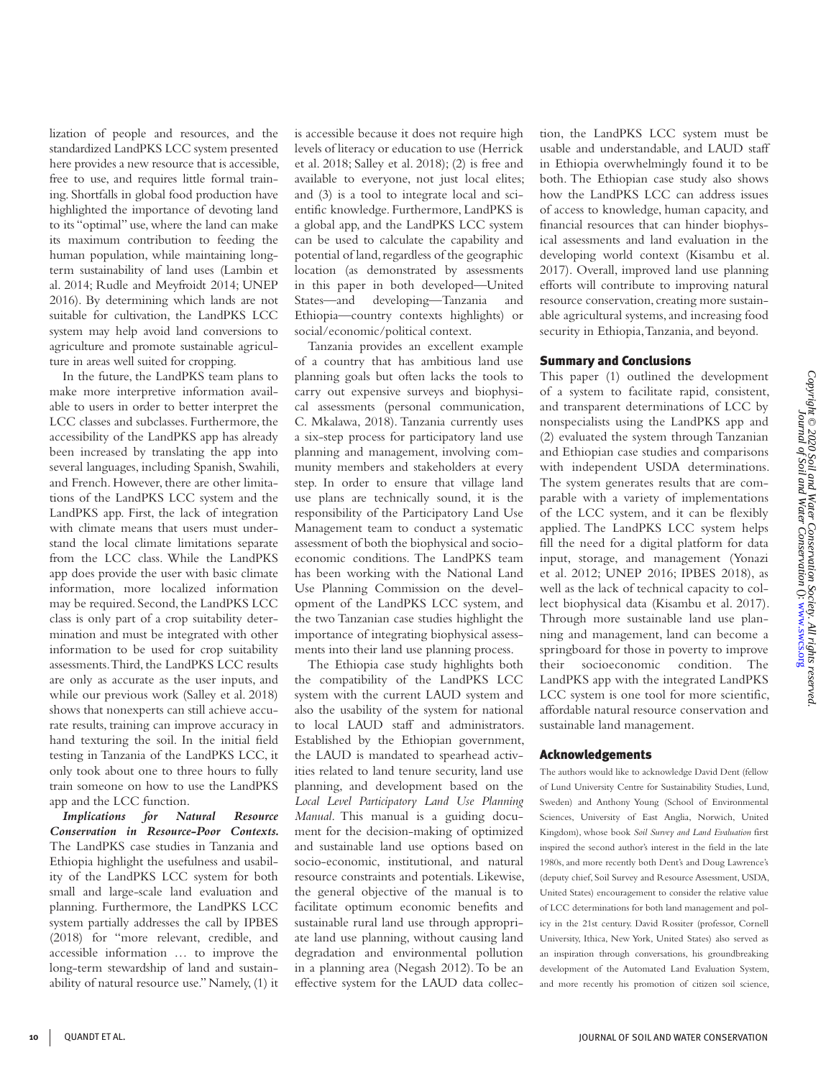lization of people and resources, and the standardized LandPKS LCC system presented here provides a new resource that is accessible, free to use, and requires little formal training. Shortfalls in global food production have highlighted the importance of devoting land to its "optimal" use, where the land can make its maximum contribution to feeding the human population, while maintaining longterm sustainability of land uses (Lambin et al. 2014; Rudle and Meyfroidt 2014; UNEP 2016). By determining which lands are not suitable for cultivation, the LandPKS LCC system may help avoid land conversions to agriculture and promote sustainable agriculture in areas well suited for cropping.

In the future, the LandPKS team plans to make more interpretive information available to users in order to better interpret the LCC classes and subclasses. Furthermore, the accessibility of the LandPKS app has already been increased by translating the app into several languages, including Spanish, Swahili, and French. However, there are other limitations of the LandPKS LCC system and the LandPKS app. First, the lack of integration with climate means that users must understand the local climate limitations separate from the LCC class. While the LandPKS app does provide the user with basic climate information, more localized information may be required. Second, the LandPKS LCC class is only part of a crop suitability determination and must be integrated with other information to be used for crop suitability assessments. Third, the LandPKS LCC results are only as accurate as the user inputs, and while our previous work (Salley et al. 2018) shows that nonexperts can still achieve accurate results, training can improve accuracy in hand texturing the soil. In the initial field testing in Tanzania of the LandPKS LCC, it only took about one to three hours to fully train someone on how to use the LandPKS app and the LCC function.

*Implications for Natural Resource Conservation in Resource-Poor Contexts.*  The LandPKS case studies in Tanzania and Ethiopia highlight the usefulness and usability of the LandPKS LCC system for both small and large-scale land evaluation and planning. Furthermore, the LandPKS LCC system partially addresses the call by IPBES (2018) for "more relevant, credible, and accessible information … to improve the long-term stewardship of land and sustainability of natural resource use." Namely, (1) it is accessible because it does not require high levels of literacy or education to use (Herrick et al. 2018; Salley et al. 2018); (2) is free and available to everyone, not just local elites; and (3) is a tool to integrate local and scientific knowledge. Furthermore, LandPKS is a global app, and the LandPKS LCC system can be used to calculate the capability and potential of land, regardless of the geographic location (as demonstrated by assessments in this paper in both developed—United States—and developing—Tanzania and Ethiopia—country contexts highlights) or social/economic/political context.

Tanzania provides an excellent example of a country that has ambitious land use planning goals but often lacks the tools to carry out expensive surveys and biophysical assessments (personal communication, C. Mkalawa, 2018). Tanzania currently uses a six-step process for participatory land use planning and management, involving community members and stakeholders at every step. In order to ensure that village land use plans are technically sound, it is the responsibility of the Participatory Land Use Management team to conduct a systematic assessment of both the biophysical and socioeconomic conditions. The LandPKS team has been working with the National Land Use Planning Commission on the development of the LandPKS LCC system, and the two Tanzanian case studies highlight the importance of integrating biophysical assessments into their land use planning process.

The Ethiopia case study highlights both the compatibility of the LandPKS LCC system with the current LAUD system and also the usability of the system for national to local LAUD staff and administrators. Established by the Ethiopian government, the LAUD is mandated to spearhead activities related to land tenure security, land use planning, and development based on the *Local Level Participatory Land Use Planning Manual*. This manual is a guiding document for the decision-making of optimized and sustainable land use options based on socio-economic, institutional, and natural resource constraints and potentials. Likewise, the general objective of the manual is to facilitate optimum economic benefits and sustainable rural land use through appropriate land use planning, without causing land degradation and environmental pollution in a planning area (Negash 2012). To be an effective system for the LAUD data collection, the LandPKS LCC system must be usable and understandable, and LAUD staff in Ethiopia overwhelmingly found it to be both. The Ethiopian case study also shows how the LandPKS LCC can address issues of access to knowledge, human capacity, and financial resources that can hinder biophysical assessments and land evaluation in the developing world context (Kisambu et al. 2017). Overall, improved land use planning efforts will contribute to improving natural resource conservation, creating more sustainable agricultural systems, and increasing food security in Ethiopia, Tanzania, and beyond.

#### Summary and Conclusions

This paper (1) outlined the development of a system to facilitate rapid, consistent, and transparent determinations of LCC by nonspecialists using the LandPKS app and (2) evaluated the system through Tanzanian and Ethiopian case studies and comparisons with independent USDA determinations. The system generates results that are comparable with a variety of implementations of the LCC system, and it can be flexibly applied. The LandPKS LCC system helps fill the need for a digital platform for data input, storage, and management (Yonazi et al. 2012; UNEP 2016; IPBES 2018), as well as the lack of technical capacity to collect biophysical data (Kisambu et al. 2017). Through more sustainable land use planning and management, land can become a springboard for those in poverty to improve their socioeconomic condition. The LandPKS app with the integrated LandPKS LCC system is one tool for more scientific, affordable natural resource conservation and sustainable land management.

#### Acknowledgements

The authors would like to acknowledge David Dent (fellow of Lund University Centre for Sustainability Studies, Lund, Sweden) and Anthony Young (School of Environmental Sciences, University of East Anglia, Norwich, United Kingdom), whose book *Soil Survey and Land Evaluation* first inspired the second author's interest in the field in the late 1980s, and more recently both Dent's and Doug Lawrence's (deputy chief, Soil Survey and Resource Assessment, USDA, United States) encouragement to consider the relative value of LCC determinations for both land management and policy in the 21st century. David Rossiter (professor, Cornell University, Ithica, New York, United States) also served as an inspiration through conversations, his groundbreaking development of the Automated Land Evaluation System, and more recently his promotion of citizen soil science,